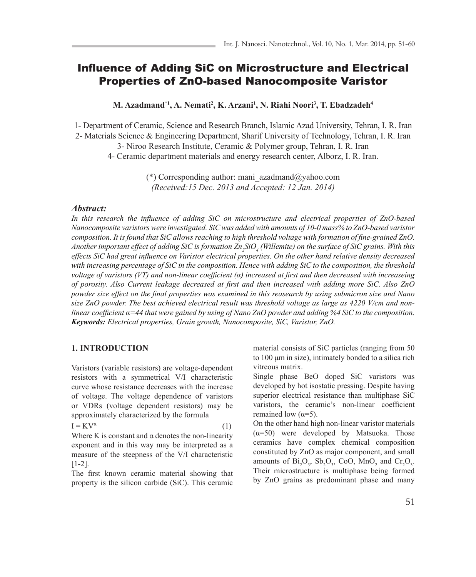# Influence of Adding SiC on Microstructure and Electrical Properties of ZnO-based Nanocomposite Varistor

**M. Azadmand\*1, A. Nemati<sup>2</sup> , K. Arzani<sup>1</sup> , N. Riahi Noori<sup>3</sup> , T. Ebadzadeh<sup>4</sup>**

1- Department of Ceramic, Science and Research Branch, Islamic Azad University, Tehran, I. R. Iran 2- Materials Science & Engineering Department, Sharif University of Technology, Tehran, I. R. Iran

3- Niroo Research Institute, Ceramic & Polymer group, Tehran, I. R. Iran

4- Ceramic department materials and energy research center, Alborz, I. R. Iran.

(\*) Corresponding author: mani\_azadmand@yahoo.com *(Received:15 Dec. 2013 and Accepted: 12 Jan. 2014)*

## *Abstract:*

*In this research the influence of adding SiC on microstructure and electrical properties of ZnO-based Nanocomposite varistors were investigated. SiC was added with amounts of 10-0 mass% to ZnO-based varistor composition. It is found that SiC allows reaching to high threshold voltage with formation of fine-grained ZnO. Another important effect of adding SiC is formation Zn<sup>2</sup> SiO4 (Willemite) on the surface of SiC grains. With this effects SiC had great influence on Varistor electrical properties. On the other hand relative density decreased with increasing percentage of SiC in the composition. Hence with adding SiC to the composition, the threshold voltage of varistors (VT) and non-linear coefficient (α) increased at first and then decreased with increaseing of porosity. Also Current leakage decreased at first and then increased with adding more SiC. Also ZnO powder size effect on the final properties was examined in this reasearch by using submicron size and Nano*  size ZnO powder. The best achieved electrical result was threshold voltage as large as 4220 V/cm and non*linear coefficient α=44 that were gained by using of Nano ZnO powder and adding %4 SiC to the composition. Keywords: Electrical properties, Grain growth, Nanocomposite, SiC, Varistor, ZnO.*

#### **1. INTRODUCTION**

Varistors (variable resistors) are voltage-dependent resistors with a symmetrical V/I characteristic curve whose resistance decreases with the increase of voltage. The voltage dependence of varistors or VDRs (voltage dependent resistors) may be approximately characterized by the formula

 $I = KV^{\alpha}$  $(1)$ 

Where K is constant and  $\alpha$  denotes the non-linearity exponent and in this way may be interpreted as a measure of the steepness of the V/I characteristic [1-2].

The first known ceramic material showing that property is the silicon carbide (SiC). This ceramic material consists of SiC particles (ranging from 50 to 100 μm in size), intimately bonded to a silica rich vitreous matrix.

Single phase BeO doped SiC varistors was developed by hot isostatic pressing. Despite having superior electrical resistance than multiphase SiC varistors, the ceramic's non-linear coefficient remained low  $(\alpha=5)$ .

On the other hand high non-linear varistor materials  $(\alpha=50)$  were developed by Matsuoka. Those ceramics have complex chemical composition constituted by ZnO as major component, and small amounts of  $Bi_2O_3$ ,  $Sb_2O_3$ , CoO, MnO<sub>2</sub> and Cr<sub>2</sub>O<sub>3</sub>. Their microstructure is multiphase being formed by ZnO grains as predominant phase and many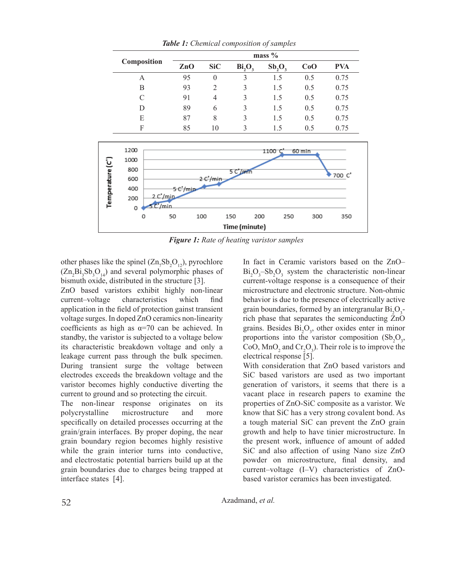|                  | Composition      |          | mass $%$       |                |                                |           |     |            |
|------------------|------------------|----------|----------------|----------------|--------------------------------|-----------|-----|------------|
|                  |                  |          | ZnO            | <b>SiC</b>     | Bi <sub>2</sub> O <sub>3</sub> | $Sb_2O_3$ | CoO | <b>PVA</b> |
|                  | A<br>$\mathbf B$ |          | 95             | $\theta$       | 3                              | 1.5       | 0.5 | 0.75       |
|                  |                  |          | 93             | $\overline{2}$ | 3                              | 1.5       | 0.5 | 0.75       |
|                  | $\mathcal{C}$    |          | 91             | $\overline{4}$ | 3                              | 1.5       | 0.5 | 0.75       |
|                  | D                |          | 89             | 6              | 3                              | 1.5       | 0.5 | 0.75       |
|                  | E                |          | 87             | 8              | 3                              | 1.5       | 0.5 | 0.75       |
|                  | F                |          | 85             | 10             | 3                              | 1.5       | 0.5 | 0.75       |
|                  |                  |          |                |                |                                |           |     |            |
| Temperature (C") | 1200             |          | 1100<br>60 min |                |                                |           |     |            |
|                  | 1000             |          |                |                |                                |           |     |            |
|                  | 800              |          | 5 C'/min       |                |                                |           |     |            |
|                  | 600              |          |                | 2 C'/min       |                                |           |     | 700 C'     |
|                  | 400              |          | 5 C'/min       |                |                                |           |     |            |
|                  | 200              | 2 C'/min |                |                |                                |           |     |            |
|                  | 0                | 5 C'/min |                |                |                                |           |     |            |
|                  | 0                |          | 50             | 100            | 150                            | 200       | 250 | 300<br>350 |
|                  | Time (minute)    |          |                |                |                                |           |     |            |

*Table 1: Chemical composition of samples*

*Figure 1: Rate of heating varistor samples*

other phases like the spinel  $(Zn_7Sb_2O_{12})$ , pyrochlore  $(Zn_2Bi_3Sb_3O_{14})$  and several polymorphic phases of bismuth oxide, distributed in the structure [3].

ZnO based varistors exhibit highly non-linear current–voltage characteristics which find application in the field of protection gainst transient voltage surges. In doped ZnO ceramics non-linearity coefficients as high as  $\alpha$ =70 can be achieved. In standby, the varistor is subjected to a voltage below its characteristic breakdown voltage and only a leakage current pass through the bulk specimen. During transient surge the voltage between electrodes exceeds the breakdown voltage and the varistor becomes highly conductive diverting the current to ground and so protecting the circuit.

The non-linear response originates on its polycrystalline microstructure and more specifically on detailed processes occurring at the grain/grain interfaces. By proper doping, the near grain boundary region becomes highly resistive while the grain interior turns into conductive, and electrostatic potential barriers build up at the grain boundaries due to charges being trapped at interface states [4].

In fact in Ceramic varistors based on the ZnO–  $Bi_2O_3 - Sb_2O_3$  system the characteristic non-linear current-voltage response is a consequence of their microstructure and electronic structure. Non-ohmic behavior is due to the presence of electrically active grain boundaries, formed by an intergranular  $Bi_2O_3$ rich phase that separates the semiconducting ZnO grains. Besides  $Bi<sub>2</sub>O<sub>3</sub>$ , other oxides enter in minor proportions into the varistor composition  $(Sb_2O_3)$ , CoO,  $\text{MnO}_2$  and  $\text{Cr}_2\text{O}_3$ ). Their role is to improve the electrical response [5].

With consideration that ZnO based varistors and SiC based varistors are used as two important generation of varistors, it seems that there is a vacant place in research papers to examine the properties of ZnO-SiC composite as a varistor. We know that SiC has a very strong covalent bond. As a tough material SiC can prevent the ZnO grain growth and help to have tinier microstructure. In the present work, influence of amount of added SiC and also affection of using Nano size ZnO powder on microstructure, final density, and current–voltage (I–V) characteristics of ZnObased varistor ceramics has been investigated.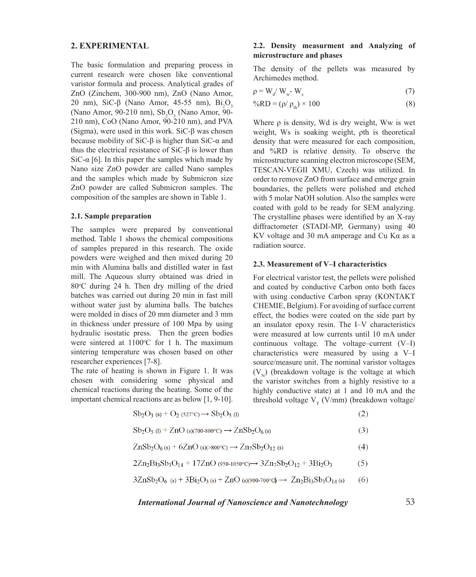### **2. EXPERIMENTAL**

The basic formulation and preparing process in current research were chosen like conventional varistor formula and process. Analytical grades of ZnO (Zinchem, 300-900 nm), ZnO (Nano Amor, 20 nm), SiC-β (Nano Amor, 45-55 nm),  $Bi<sub>2</sub>O<sub>3</sub>$ (Nano Amor, 90-210 nm),  $\mathrm{Sb}_2\mathrm{O}_3$  (Nano Amor, 90- $210 \text{ nm}$ , CoO (Nano Amor,  $90-210 \text{ nm}$ ), and PVA (Sigma), were used in this work. SiC-β was chosen because mobility of SiC- $\beta$  is higher than SiC- $\alpha$  and thus the electrical resistance of SiC-β is lower than SiC- $\alpha$  [6]. In this paper the samples which made by Nano size ZnO powder are called Nano samples and the samples which made by Submicron size ZnO powder are called Submicron samples. The composition of the samples are shown in Table 1.

#### **2.1. Sample preparation**

The samples were prepared by conventional method. Table 1 shows the chemical compositions of samples prepared in this research. The oxide powders were weighed and then mixed during 20 min with Alumina balls and distilled water in fast mill. The Aqueous slurry obtained was dried in 80°C during 24 h. Then dry milling of the dried batches was carried out during 20 min in fast mill without water just by alumina balls. The batches were molded in discs of 20 mm diameter and 3 mm in thickness under pressure of 100 Mpa by using hydraulic isostatic press. Then the green bodies were sintered at  $1100^{\circ}$ C for 1 h. The maximum sintering temperature was chosen based on other researcher experiences [7-8].

The rate of heating is shown in Figure 1. It was chosen with considering some physical and chemical reactions during the heating. Some of the important chemical reactions are as below [1, 9-10].

### **2.2. Density measurment and Analyzing of microstructure and phases**

The density of the pellets was measured by Archimedes method.

$$
\rho = W_{d} / W_{w} - W_{s}
$$
\n<sup>(7)</sup>

$$
\%RD = (\rho / \rho_{\text{th}}) \times 100 \tag{8}
$$

Where ρ is density, Wd is dry weight, Ww is wet weight, Ws is soaking weight, ρth is theoretical density that were measured for each composition, and %RD is relative density. To observe the microstructure scanning electron microscope (SEM, TESCAN-VEGII XMU, Czech) was utilized. In order to remove ZnO from surface and emerge grain boundaries, the pellets were polished and etched with 5 molar NaOH solution. Also the samples were coated with gold to be ready for SEM analyzing. The crystalline phases were identified by an X-ray diffractometer (STADI-MP, Germany) using 40 KV voltage and 30 mA amperage and Cu Kα as a radiation source.

#### **2.3. Measurement of V–I characteristics**

For electrical varistor test, the pellets were polished and coated by conductive Carbon onto both faces with using conductive Carbon spray (KONTAKT CHEMIE, Belgium). For avoiding of surface current effect, the bodies were coated on the side part by an insulator epoxy resin. The I–V characteristics were measured at low currents until 10 mA under continuous voltage. The voltage–current (V–I) characteristics were measured by using a V–I source/measure unit. The nominal varistor voltages  $(V_N)$  (breakdown voltage is the voltage at which the varistor switches from a highly resistive to a highly conductive state) at 1 and 10 mA and the threshold voltage  $V_T$  (V/mm) (breakdown voltage/

$$
Sb_2O_3(s) + O_2(s27°C) \rightarrow Sb_2O_5(t)
$$
\n
$$
(2)
$$

$$
Sb_2O_5(t) + ZnO(s)(700-800°C) \rightarrow ZnSb_2O_6(s)
$$
\n(3)

$$
ZnSb2O6(s) + 6ZnO(s)(>800°C) \rightarrow Zn7Sb2O12(s)
$$
 (4)

$$
2Zn_2Bi_3Sb_3O_{14} + 17ZnO (950-1050°C) \rightarrow 3Zn_7Sb_2O_{12} + 3Bi_2O_3
$$
 (5)

$$
3ZnSb_2O_6 \text{ (s)} + 3Bi_2O_3 \text{ (s)} + ZnO \text{ (s)}\text{ (900-700°C)} \rightarrow Zn_2Bi_3Sb_3O_{14} \text{ (s)} \tag{6}
$$

*International Journal of Nanoscience and Nanotechnology*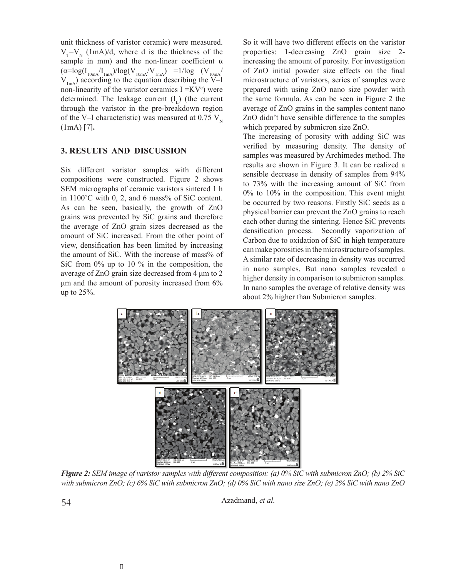unit thickness of varistor ceramic) were measured.  $V_T=V_N$  (1mA)/d, where d is the thickness of the sample in mm) and the non-linear coefficient  $\alpha$  $(\alpha = \log(I_{10mA}/I_{1mA})/\log(V_{10mA}/V_{1mA})$  =1/log (V<sub>10mA</sub>/  $V_{1mA}$ ) according to the equation describing the V–I non-linearity of the varistor ceramics  $I = KV^{\alpha}$ ) were determined. The leakage current  $(I<sub>r</sub>)$  (the current through the varistor in the pre-breakdown region of the V–I characteristic) was measured at 0.75  $V_{N}$ (1mA) [7]**.**

# **3. RESULTS AND DISCUSSION**

Six different varistor samples with different compositions were constructed. Figure 2 shows SEM micrographs of ceramic varistors sintered 1 h in  $1100^{\circ}$ C with 0, 2, and 6 mass% of SiC content. As can be seen, basically, the growth of ZnO grains was prevented by SiC grains and therefore the average of ZnO grain sizes decreased as the amount of SiC increased. From the other point of view, densification has been limited by increasing the amount of SiC. With the increase of mass% of SiC from 0% up to 10 % in the composition, the average of ZnO grain size decreased from 4 μm to 2 μm and the amount of porosity increased from 6% up to 25%.

So it will have two different effects on the varistor properties: 1-decreasing ZnO grain size 2 increasing the amount of porosity. For investigation of ZnO initial powder size effects on the final microstructure of varistors, series of samples were prepared with using ZnO nano size powder with the same formula. As can be seen in Figure 2 the average of ZnO grains in the samples content nano ZnO didn't have sensible difference to the samples which prepared by submicron size ZnO.

The increasing of porosity with adding SiC was verified by measuring density. The density of samples was measured by Archimedes method. The results are shown in Figure 3. It can be realized a sensible decrease in density of samples from 94% to 73% with the increasing amount of SiC from 0% to 10% in the composition. This event might be occurred by two reasons. Firstly SiC seeds as a physical barrier can prevent the ZnO grains to reach each other during the sintering. Hence SiC prevents densification process. Secondly vaporization of Carbon due to oxidation of SiC in high temperature can make porosities in the microstructure of samples. A similar rate of decreasing in density was occurred in nano samples. But nano samples revealed a higher density in comparison to submicron samples. In nano samples the average of relative density was about 2% higher than Submicron samples.



*Figure 2: SEM image of varistor samples with different composition: (a) 0% SiC with submicron ZnO; (b) 2% SiC with submicron ZnO; (c) 6% SiC with submicron ZnO; (d) 0% SiC with nano size ZnO; (e) 2% SiC with nano ZnO*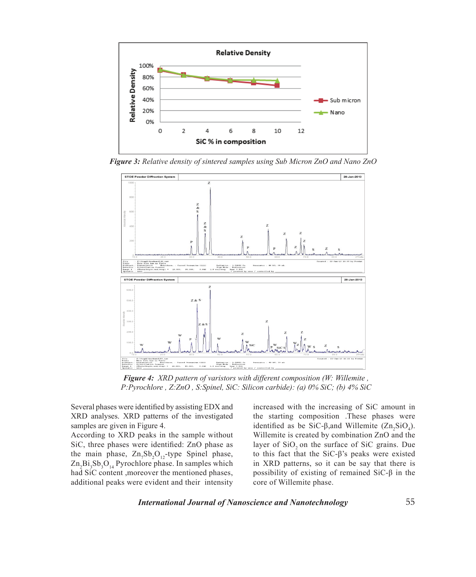

*Figure 3: Relative density of sintered samples using Sub Micron ZnO and Nano ZnO*



*Figure 4: XRD pattern of varistors with different composition (W: Willemite , P:Pyrochlore , Z:ZnO , S:Spinel, SiC: Silicon carbide): (a) 0% SiC; (b) 4% SiC*

Several phases were identified by assisting EDX and XRD analyses. XRD patterns of the investigated samples are given in Figure 4.

According to XRD peaks in the sample without SiC, three phases were identified: ZnO phase as the main phase,  $\text{Zn}_7\text{Sb}_2\text{O}_{12}$ -type Spinel phase,  $\text{Zn}_2\text{Bi}_3\text{Sb}_3\text{O}_{14}$  Pyrochlore phase. In samples which had SiC content ,moreover the mentioned phases, additional peaks were evident and their intensity

increased with the increasing of SiC amount in the starting composition .These phases were identified as be SiC- $\beta$ , and Willemite (Zn<sub>2</sub>SiO<sub>4</sub>). Willemite is created by combination ZnO and the layer of SiO<sub>2</sub> on the surface of SiC grains. Due to this fact that the SiC-β's peaks were existed in XRD patterns, so it can be say that there is possibility of existing of remained SiC-β in the core of Willemite phase.

*International Journal of Nanoscience and Nanotechnology*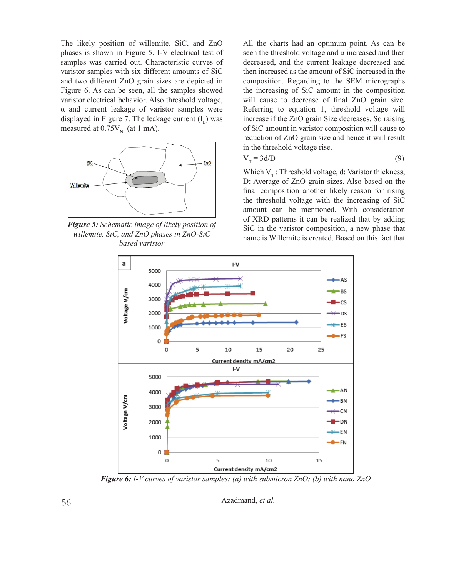The likely position of willemite, SiC, and ZnO phases is shown in Figure 5. I-V electrical test of samples was carried out. Characteristic curves of varistor samples with six different amounts of SiC and two different ZnO grain sizes are depicted in Figure 6. As can be seen, all the samples showed varistor electrical behavior. Also threshold voltage, α and current leakage of varistor samples were displayed in Figure 7. The leakage current  $(I<sub>r</sub>)$  was measured at  $0.75V_N$  (at 1 mA).



*Figure 5: Schematic image of likely position of willemite, SiC, and ZnO phases in ZnO-SiC based varistor*

All the charts had an optimum point. As can be seen the threshold voltage and  $\alpha$  increased and then decreased, and the current leakage decreased and then increased as the amount of SiC increased in the composition. Regarding to the SEM micrographs the increasing of SiC amount in the composition will cause to decrease of final ZnO grain size. Referring to equation 1, threshold voltage will increase if the ZnO grain Size decreases. So raising of SiC amount in varistor composition will cause to reduction of ZnO grain size and hence it will result in the threshold voltage rise.

$$
V_T = 3d/D \tag{9}
$$

Which  $V_T$ : Threshold voltage, d: Varistor thickness, D: Average of ZnO grain sizes. Also based on the final composition another likely reason for rising the threshold voltage with the increasing of SiC amount can be mentioned. With consideration of XRD patterns it can be realized that by adding SiC in the varistor composition, a new phase that name is Willemite is created. Based on this fact that



*Figure 6: I-V curves of varistor samples: (a) with submicron ZnO; (b) with nano ZnO*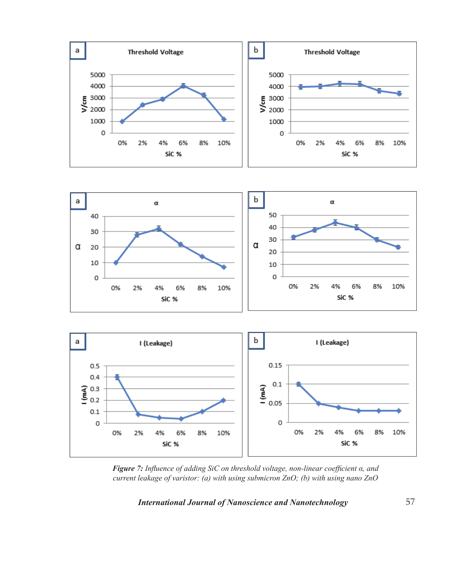





*Figure 7: Influence of adding SiC on threshold voltage, non-linear coefficient α, and current leakage of varistor: (a) with using submicron ZnO; (b) with using nano ZnO*

*International Journal of Nanoscience and Nanotechnology*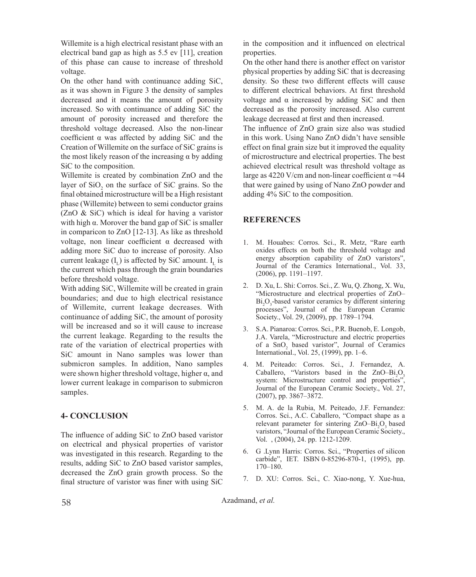Willemite is a high electrical resistant phase with an electrical band gap as high as 5.5 ev [11], creation of this phase can cause to increase of threshold voltage.

On the other hand with continuance adding SiC, as it was shown in Figure 3 the density of samples decreased and it means the amount of porosity increased. So with continuance of adding SiC the amount of porosity increased and therefore the threshold voltage decreased. Also the non-linear coefficient α was affected by adding SiC and the Creation of Willemite on the surface of SiC grains is the most likely reason of the increasing  $\alpha$  by adding SiC to the composition.

Willemite is created by combination ZnO and the layer of  $SiO<sub>2</sub>$  on the surface of SiC grains. So the final obtained microstructure will be a High resistant phase (Willemite) between to semi conductor grains (ZnO & SiC) which is ideal for having a varistor with high  $\alpha$ . Morover the band gap of SiC is smaller in comparicon to ZnO [12-13]. As like as threshold voltage, non linear coefficient α decreased with adding more SiC duo to increase of porosity. Also current leakage  $(I<sub>r</sub>)$  is affected by SiC amount.  $I<sub>r</sub>$  is the current which pass through the grain boundaries before threshold voltage.

With adding SiC, Willemite will be created in grain boundaries; and due to high electrical resistance of Willemite, current leakage decreases. With continuance of adding SiC, the amount of porosity will be increased and so it will cause to increase the current leakage. Regarding to the results the rate of the variation of electrical properties with SiC amount in Nano samples was lower than submicron samples. In addition, Nano samples were shown higher threshold voltage, higher  $\alpha$ , and lower current leakage in comparison to submicron samples.

## **4- CONCLUSION**

The influence of adding SiC to ZnO based varistor on electrical and physical properties of varistor was investigated in this research. Regarding to the results, adding SiC to ZnO based varistor samples, decreased the ZnO grain growth process. So the final structure of varistor was finer with using SiC

in the composition and it influenced on electrical properties.

On the other hand there is another effect on varistor physical properties by adding SiC that is decreasing density. So these two different effects will cause to different electrical behaviors. At first threshold voltage and α increased by adding SiC and then decreased as the porosity increased. Also current leakage decreased at first and then increased.

The influence of ZnO grain size also was studied in this work. Using Nano ZnO didn't have sensible effect on final grain size but it improved the equality of microstructure and electrical properties. The best achieved electrical result was threshold voltage as large as 4220 V/cm and non-linear coefficient  $\alpha$  =44 that were gained by using of Nano ZnO powder and adding 4% SiC to the composition.

# **REFERENCES**

- 1. M. Houabes: Corros. Sci., R. Metz, "Rare earth oxides effects on both the threshold voltage and energy absorption capability of ZnO varistors", Journal of the Ceramics International., Vol. 33, (2006), pp. 1191–1197.
- 2. D. Xu, L. Shi: Corros. Sci., Z. Wu, Q. Zhong, X. Wu, "Microstructure and electrical properties of ZnO–  $Bi<sub>2</sub>O<sub>3</sub>$ -based varistor ceramics by different sintering processes", Journal of the European Ceramic Society., Vol. 29, (2009), pp. 1789–1794.
- 3. S.A. Pianaroa: Corros. Sci., P.R. Buenob, E. Longob, J.A. Varela, "Microstructure and electric properties of a  $\text{SnO}_2$  based varistor", Journal of Ceramics International., Vol. 25, (1999), pp. 1–6.
- 4. M. Peiteado: Corros. Sci., J. Fernandez, A. Caballero, "Varistors based in the  $ZnO-Bi<sub>2</sub>O<sub>3</sub>$ system: Microstructure control and properties" Journal of the European Ceramic Society., Vol. 27, (2007), pp. 3867–3872.
- 5. M. A. de la Rubia, M. Peiteado, J.F. Fernandez: Corros. Sci., A.C. Caballero, "Compact shape as a relevant parameter for sintering  $ZnO-Bi<sub>2</sub>O<sub>3</sub>$  based varistors, "Journal of the European Ceramic Society., Vol. , (2004), 24. pp. 1212-1209.
- 6. G .Lynn Harris: Corros. Sci., "Properties of silicon carbide", IET. ISBN 0-85296-870-1, (1995), pp. 170–180.
- 7. D. XU: Corros. Sci., C. Xiao-nong, Y. Xue-hua,